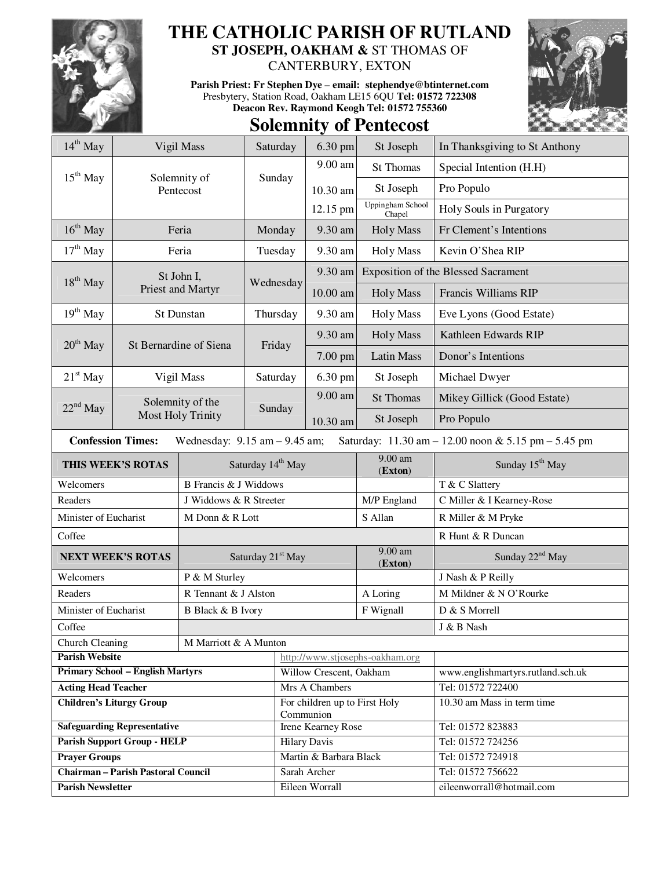

## **THE CATHOLIC PARISH OF RUTLAND**

**ST JOSEPH, OAKHAM &** ST THOMAS OF

CANTERBURY, EXTON

**Parish Priest: Fr Stephen Dye** – **email: stephendye@btinternet.com** Presbytery, Station Road, Oakham LE15 6QU **Tel: 01572 722308 Deacon Rev. Raymond Keogh Tel: 01572 755360** 



## **Solemnity of Pentecost**

| $14^{th}$ May                                                                                                        | Vigil Mass                            |                               | Saturday                      | 6.30 pm                                          | St Joseph                  | In Thanksgiving to St Anthony                          |
|----------------------------------------------------------------------------------------------------------------------|---------------------------------------|-------------------------------|-------------------------------|--------------------------------------------------|----------------------------|--------------------------------------------------------|
| $15th$ May                                                                                                           |                                       | Solemnity of                  |                               | 9.00 am                                          | St Thomas                  | Special Intention (H.H)                                |
|                                                                                                                      |                                       | Pentecost                     | Sunday                        | 10.30 am                                         | St Joseph                  | Pro Populo                                             |
|                                                                                                                      |                                       |                               |                               | 12.15 pm                                         | Uppingham School<br>Chapel | Holy Souls in Purgatory                                |
| $16th$ May                                                                                                           | Feria                                 |                               | Monday                        | 9.30 am                                          | <b>Holy Mass</b>           | Fr Clement's Intentions                                |
| $17th$ May                                                                                                           | Feria                                 |                               | Tuesday                       | 9.30 am                                          | Holy Mass                  | Kevin O'Shea RIP                                       |
| $18th$ May                                                                                                           |                                       | St John I,                    | Wednesday                     | 9.30 am                                          |                            | Exposition of the Blessed Sacrament                    |
|                                                                                                                      |                                       | Priest and Martyr             |                               | 10.00 am                                         | <b>Holy Mass</b>           | Francis Williams RIP                                   |
| $19th$ May                                                                                                           | St Dunstan                            |                               | Thursday                      | 9.30 am                                          | <b>Holy Mass</b>           | Eve Lyons (Good Estate)                                |
| $20th$ May                                                                                                           | St Bernardine of Siena                |                               | Friday                        | 9.30 am                                          | <b>Holy Mass</b>           | Kathleen Edwards RIP                                   |
|                                                                                                                      |                                       |                               |                               | 7.00 pm                                          | <b>Latin Mass</b>          | Donor's Intentions                                     |
| $21st$ May                                                                                                           | Vigil Mass                            |                               | Saturday                      | 6.30 pm                                          | St Joseph                  | Michael Dwyer                                          |
| $22^{nd}$ May                                                                                                        | Solemnity of the<br>Most Holy Trinity |                               | Sunday                        | 9.00 am                                          | St Thomas                  | Mikey Gillick (Good Estate)                            |
|                                                                                                                      |                                       |                               |                               | 10.30 am                                         | St Joseph                  | Pro Populo                                             |
| <b>Confession Times:</b><br>Wednesday: $9.15$ am $- 9.45$ am;<br>Saturday: 11.30 am - 12.00 noon & 5.15 pm - 5.45 pm |                                       |                               |                               |                                                  |                            |                                                        |
| THIS WEEK'S ROTAS                                                                                                    |                                       |                               | Saturday 14 <sup>th</sup> May |                                                  | 9.00 am<br>(Exton)         | Sunday 15 <sup>th</sup> May                            |
| Welcomers                                                                                                            |                                       |                               | <b>B</b> Francis & J Widdows  |                                                  |                            | T & C Slattery                                         |
| Readers                                                                                                              |                                       | J Widdows & R Streeter        |                               |                                                  | M/P England                | C Miller & I Kearney-Rose                              |
| Minister of Eucharist                                                                                                |                                       | M Donn & R Lott               |                               |                                                  | S Allan                    | R Miller & M Pryke                                     |
| Coffee                                                                                                               |                                       |                               |                               |                                                  |                            | R Hunt & R Duncan                                      |
| <b>NEXT WEEK'S ROTAS</b>                                                                                             |                                       | Saturday 21 <sup>st</sup> May |                               |                                                  | 9.00 am<br>(Exton)         | Sunday 22 <sup>nd</sup> May                            |
| Welcomers                                                                                                            |                                       | P & M Sturley                 |                               |                                                  |                            | J Nash & P Reilly                                      |
| Readers                                                                                                              |                                       | R Tennant & J Alston          |                               |                                                  | A Loring                   | M Mildner & N O'Rourke                                 |
| Minister of Eucharist<br><b>B</b> Black & B Ivory                                                                    |                                       |                               |                               |                                                  | F Wignall                  | D & S Morrell                                          |
| Coffee                                                                                                               |                                       |                               |                               |                                                  |                            | J & B Nash                                             |
| Church Cleaning<br>M Marriott & A Munton                                                                             |                                       |                               |                               |                                                  |                            |                                                        |
| <b>Parish Website</b><br><b>Primary School - English Martyrs</b>                                                     |                                       |                               |                               | http://www.stjosephs-oakham.org                  |                            |                                                        |
| <b>Acting Head Teacher</b>                                                                                           |                                       |                               |                               | Willow Crescent, Oakham<br>Mrs A Chambers        |                            | www.englishmartyrs.rutland.sch.uk<br>Tel: 01572 722400 |
| <b>Children's Liturgy Group</b>                                                                                      |                                       |                               |                               | For children up to First Holy                    |                            | 10.30 am Mass in term time                             |
|                                                                                                                      |                                       |                               |                               | Communion                                        |                            |                                                        |
| <b>Safeguarding Representative</b>                                                                                   |                                       |                               |                               | <b>Irene Kearney Rose</b><br><b>Hilary Davis</b> |                            | Tel: 01572 823883                                      |
| <b>Parish Support Group - HELP</b>                                                                                   |                                       |                               |                               |                                                  |                            | Tel: 01572 724256                                      |
| <b>Prayer Groups</b><br><b>Chairman - Parish Pastoral Council</b>                                                    |                                       |                               |                               | Martin & Barbara Black<br>Sarah Archer           |                            | Tel: 01572 724918<br>Tel: 01572 756622                 |
| <b>Parish Newsletter</b>                                                                                             |                                       |                               |                               | Eileen Worrall                                   |                            | eileenworrall@hotmail.com                              |
|                                                                                                                      |                                       |                               |                               |                                                  |                            |                                                        |